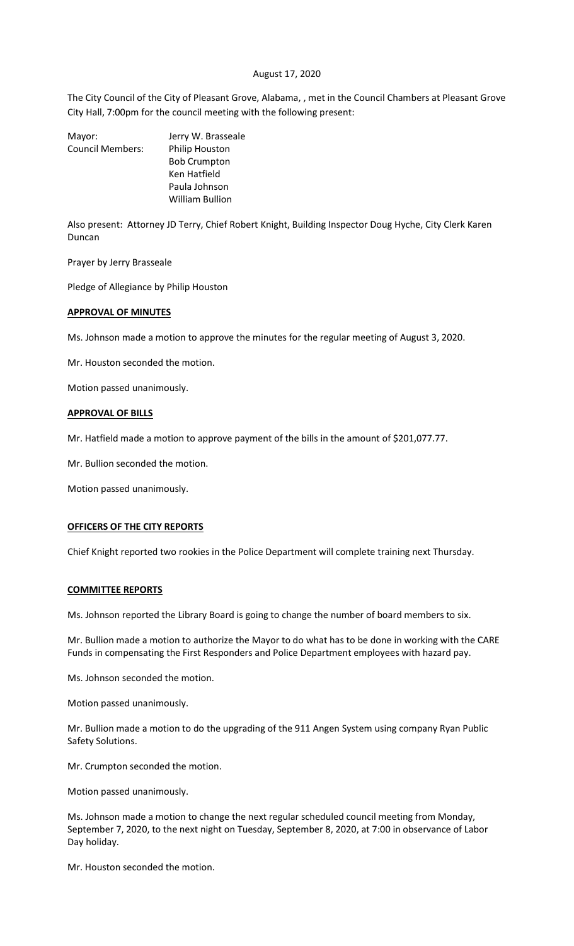## August 17, 2020

The City Council of the City of Pleasant Grove, Alabama, , met in the Council Chambers at Pleasant Grove City Hall, 7:00pm for the council meeting with the following present:

| Mayor:                  | Jerry W. Brasseale    |
|-------------------------|-----------------------|
| <b>Council Members:</b> | <b>Philip Houston</b> |
|                         | <b>Bob Crumpton</b>   |
|                         | Ken Hatfield          |
|                         | Paula Johnson         |
|                         | William Bullion       |
|                         |                       |

Also present: Attorney JD Terry, Chief Robert Knight, Building Inspector Doug Hyche, City Clerk Karen Duncan

Prayer by Jerry Brasseale

Pledge of Allegiance by Philip Houston

#### **APPROVAL OF MINUTES**

Ms. Johnson made a motion to approve the minutes for the regular meeting of August 3, 2020.

Mr. Houston seconded the motion.

Motion passed unanimously.

## **APPROVAL OF BILLS**

Mr. Hatfield made a motion to approve payment of the bills in the amount of \$201,077.77.

Mr. Bullion seconded the motion.

Motion passed unanimously.

## **OFFICERS OF THE CITY REPORTS**

Chief Knight reported two rookies in the Police Department will complete training next Thursday.

#### **COMMITTEE REPORTS**

Ms. Johnson reported the Library Board is going to change the number of board members to six.

Mr. Bullion made a motion to authorize the Mayor to do what has to be done in working with the CARE Funds in compensating the First Responders and Police Department employees with hazard pay.

Ms. Johnson seconded the motion.

Motion passed unanimously.

Mr. Bullion made a motion to do the upgrading of the 911 Angen System using company Ryan Public Safety Solutions.

Mr. Crumpton seconded the motion.

Motion passed unanimously.

Ms. Johnson made a motion to change the next regular scheduled council meeting from Monday, September 7, 2020, to the next night on Tuesday, September 8, 2020, at 7:00 in observance of Labor Day holiday.

Mr. Houston seconded the motion.